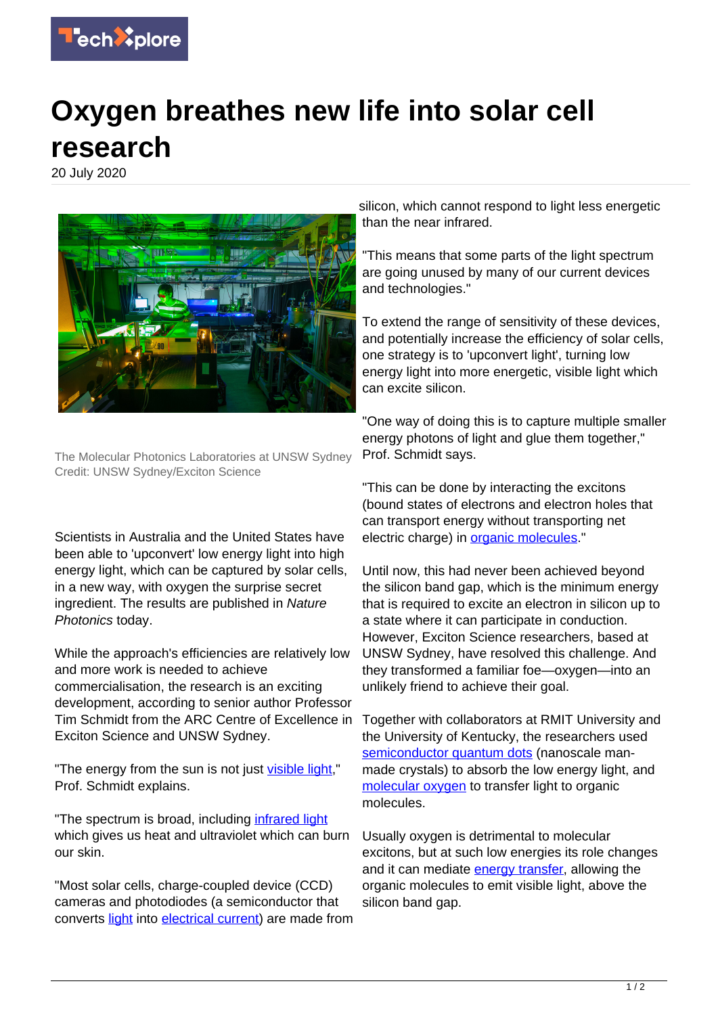

## **Oxygen breathes new life into solar cell research**

20 July 2020



The Molecular Photonics Laboratories at UNSW Sydney Credit: UNSW Sydney/Exciton Science

Scientists in Australia and the United States have been able to 'upconvert' low energy light into high energy light, which can be captured by solar cells, in a new way, with oxygen the surprise secret ingredient. The results are published in Nature Photonics today.

While the approach's efficiencies are relatively low and more work is needed to achieve commercialisation, the research is an exciting development, according to senior author Professor Tim Schmidt from the ARC Centre of Excellence in Exciton Science and UNSW Sydney.

"The energy from the sun is not just [visible light](https://techxplore.com/tags/visible+light/)," Prof. Schmidt explains.

"The spectrum is broad, including [infrared light](https://techxplore.com/tags/infrared+light/) which gives us heat and ultraviolet which can burn our skin.

"Most solar cells, charge-coupled device (CCD) cameras and photodiodes (a semiconductor that converts [light](https://techxplore.com/tags/light/) into [electrical current\)](https://techxplore.com/tags/electrical+current/) are made from

silicon, which cannot respond to light less energetic than the near infrared.

"This means that some parts of the light spectrum are going unused by many of our current devices and technologies."

To extend the range of sensitivity of these devices, and potentially increase the efficiency of solar cells, one strategy is to 'upconvert light', turning low energy light into more energetic, visible light which can excite silicon.

"One way of doing this is to capture multiple smaller energy photons of light and glue them together," Prof. Schmidt says.

"This can be done by interacting the excitons (bound states of electrons and electron holes that can transport energy without transporting net electric charge) in [organic molecules.](https://techxplore.com/tags/organic+molecules/)"

Until now, this had never been achieved beyond the silicon band gap, which is the minimum energy that is required to excite an electron in silicon up to a state where it can participate in conduction. However, Exciton Science researchers, based at UNSW Sydney, have resolved this challenge. And they transformed a familiar foe—oxygen—into an unlikely friend to achieve their goal.

Together with collaborators at RMIT University and the University of Kentucky, the researchers used [semiconductor quantum dots](https://techxplore.com/tags/semiconductor+quantum+dots/) (nanoscale manmade crystals) to absorb the low energy light, and [molecular oxygen](https://techxplore.com/tags/molecular+oxygen/) to transfer light to organic molecules.

Usually oxygen is detrimental to molecular excitons, but at such low energies its role changes and it can mediate [energy transfer](https://techxplore.com/tags/energy+transfer/), allowing the organic molecules to emit visible light, above the silicon band gap.